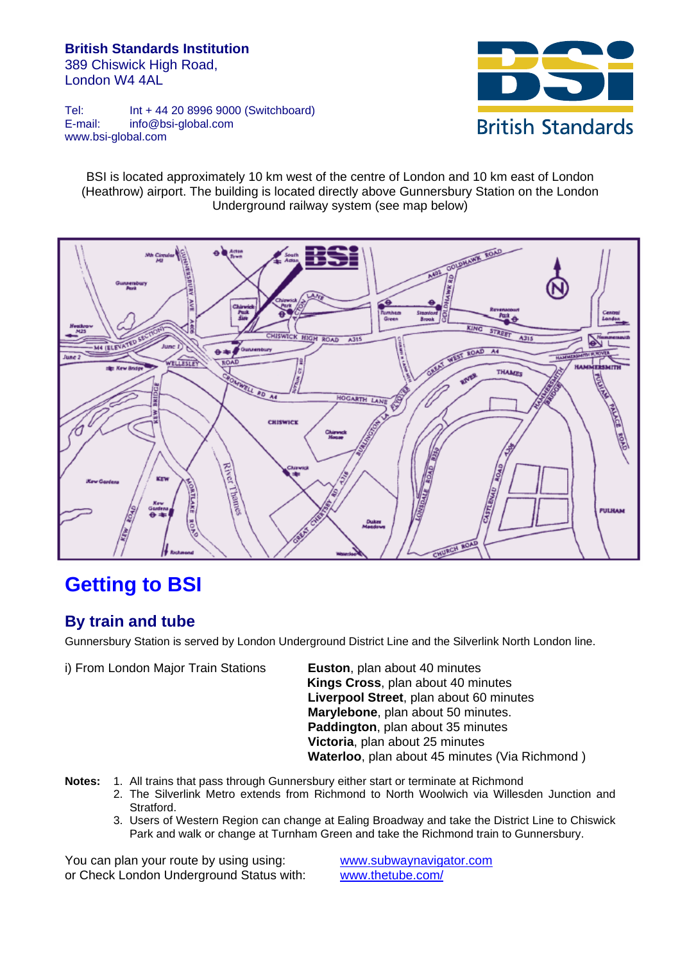#### **British Standards Institution**  389 Chiswick High Road, London W4 4AL



Tel: Int + 44 20 8996 9000 (Switchboard) E-mail: info@bsi-global.com www.bsi-global.com

BSI is located approximately 10 km west of the centre of London and 10 km east of London (Heathrow) airport. The building is located directly above Gunnersbury Station on the London Underground railway system (see map below)



# **Getting to BSI**

### **By train and tube**

Gunnersbury Station is served by London Underground District Line and the Silverlink North London line.

i) From London Major Train Stations **Euston**, plan about 40 minutes

**Kings Cross**, plan about 40 minutes **Liverpool Street**, plan about 60 minutes **Marylebone**, plan about 50 minutes. **Paddington**, plan about 35 minutes **Victoria**, plan about 25 minutes **Waterloo**, plan about 45 minutes (Via Richmond )

- **Notes:** 1. All trains that pass through Gunnersbury either start or terminate at Richmond
	- 2. The Silverlink Metro extends from Richmond to North Woolwich via Willesden Junction and Stratford.
	- 3. Users of Western Region can change at Ealing Broadway and take the District Line to Chiswick Park and walk or change at Turnham Green and take the Richmond train to Gunnersbury.

You can plan your route by using using: [www.subwaynavigator.com](http://www.subwaynavigator.com/) or Check London Underground Status with: [www.thetube.com/](http://www.thetube.com/)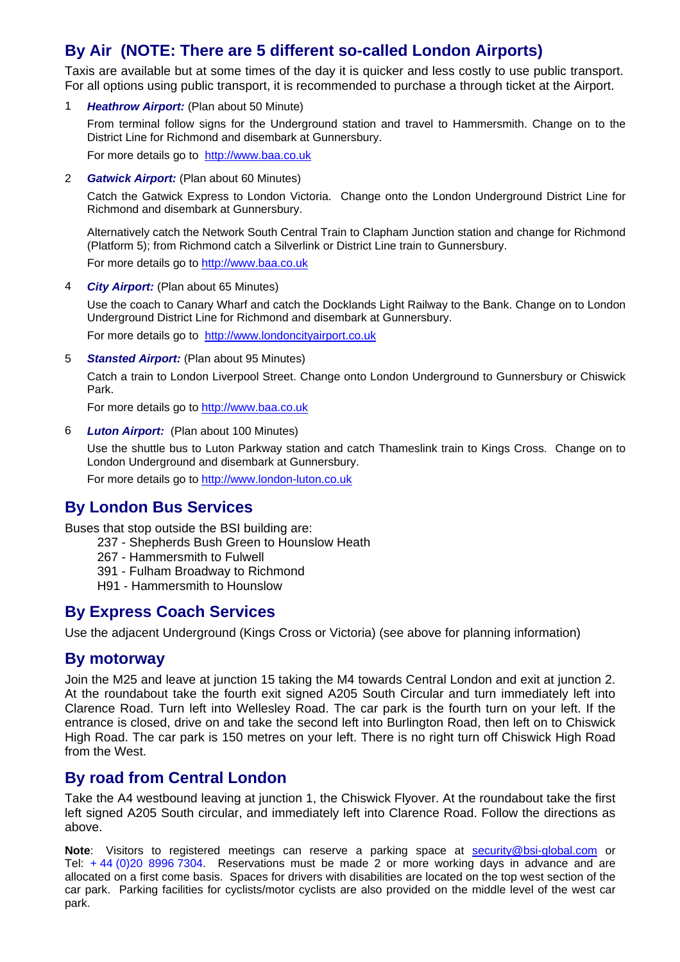### **By Air (NOTE: There are 5 different so-called London Airports)**

Taxis are available but at some times of the day it is quicker and less costly to use public transport. For all options using public transport, it is recommended to purchase a through ticket at the Airport.

1 *Heathrow Airport:* (Plan about 50 Minute)

From terminal follow signs for the Underground station and travel to Hammersmith. Change on to the District Line for Richmond and disembark at Gunnersbury.

For more details go to [http://www.baa.co.uk](http://www.baa.co.uk/)

2 *Gatwick Airport:* (Plan about 60 Minutes)

Catch the Gatwick Express to London Victoria. Change onto the London Underground District Line for Richmond and disembark at Gunnersbury.

Alternatively catch the Network South Central Train to Clapham Junction station and change for Richmond (Platform 5); from Richmond catch a Silverlink or District Line train to Gunnersbury.

For more details go to [http://www.baa.co.uk](http://www.baa.co.uk/)

4 *City Airport:* (Plan about 65 Minutes)

Use the coach to Canary Wharf and catch the Docklands Light Railway to the Bank. Change on to London Underground District Line for Richmond and disembark at Gunnersbury. For more details go to [http://www.londoncityairport.co.uk](http://www.londoncityairport.co.uk/)

5 *Stansted Airport:* (Plan about 95 Minutes)

Catch a train to London Liverpool Street. Change onto London Underground to Gunnersbury or Chiswick Park.

For more details go to [http://www.baa.co.uk](http://www.baa.co.uk/)

6 *Luton Airport:* (Plan about 100 Minutes)

Use the shuttle bus to Luton Parkway station and catch Thameslink train to Kings Cross. Change on to London Underground and disembark at Gunnersbury.

For more details go to [http://www.london-luton.co.uk](http://www.london-luton.co.uk/) 

### **By London Bus Services**

Buses that stop outside the BSI building are:

- 237 Shepherds Bush Green to Hounslow Heath
- 267 Hammersmith to Fulwell
- 391 Fulham Broadway to Richmond
- H91 Hammersmith to Hounslow

### **By Express Coach Services**

Use the adjacent Underground (Kings Cross or Victoria) (see above for planning information)

#### **By motorway**

Join the M25 and leave at junction 15 taking the M4 towards Central London and exit at junction 2. At the roundabout take the fourth exit signed A205 South Circular and turn immediately left into Clarence Road. Turn left into Wellesley Road. The car park is the fourth turn on your left. If the entrance is closed, drive on and take the second left into Burlington Road, then left on to Chiswick High Road. The car park is 150 metres on your left. There is no right turn off Chiswick High Road from the West.

#### **By road from Central London**

Take the A4 westbound leaving at junction 1, the Chiswick Flyover. At the roundabout take the first left signed A205 South circular, and immediately left into Clarence Road. Follow the directions as above.

**Note**: Visitors to registered meetings can reserve a parking space at [security@bsi-global.com](mailto:security@bsi-global.com) or Tel: + 44 (0)20 8996 7304. Reservations must be made 2 or more working days in advance and are allocated on a first come basis. Spaces for drivers with disabilities are located on the top west section of the car park. Parking facilities for cyclists/motor cyclists are also provided on the middle level of the west car park.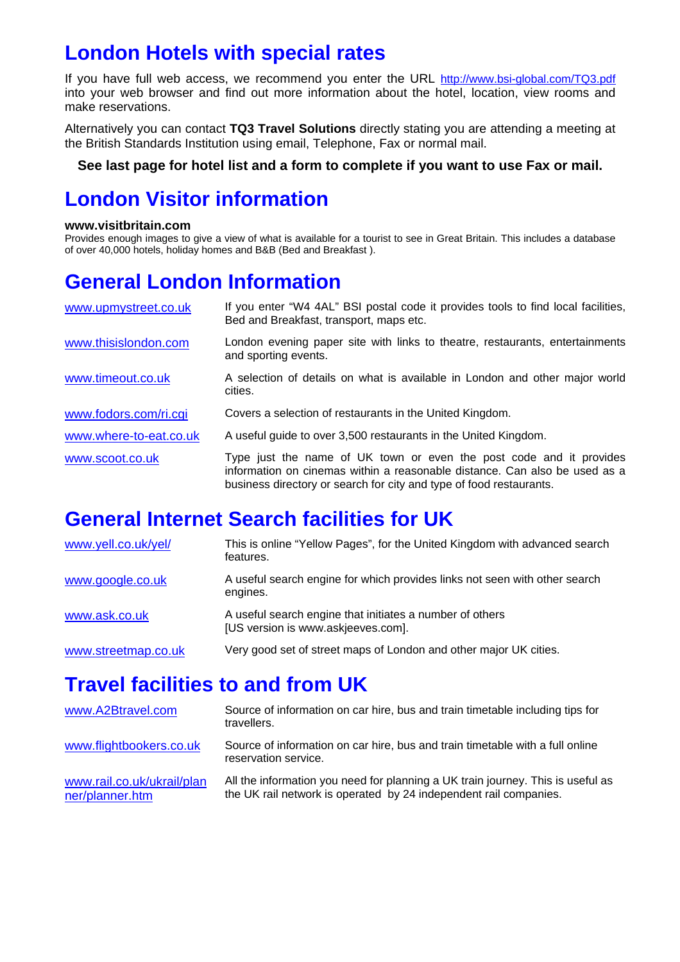## **London Hotels with special rates**

If you have full web access, we recommend you enter the URL <http://www.bsi-global.com/TQ3.pdf> into your web browser and find out more information about the hotel, location, view rooms and make reservations.

Alternatively you can contact **TQ3 Travel Solutions** directly stating you are attending a meeting at the British Standards Institution using email, Telephone, Fax or normal mail.

#### **See last page for hotel list and a form to complete if you want to use Fax or mail.**

# **London Visitor information**

#### **www.visitbritain.com**

Provides enough images to give a view of what is available for a tourist to see in Great Britain. This includes a database of over 40,000 hotels, holiday homes and B&B (Bed and Breakfast ).

# **General London Information**

| www.upmystreet.co.uk   | If you enter "W4 4AL" BSI postal code it provides tools to find local facilities,<br>Bed and Breakfast, transport, maps etc.                                                                                             |
|------------------------|--------------------------------------------------------------------------------------------------------------------------------------------------------------------------------------------------------------------------|
| www.thisislondon.com   | London evening paper site with links to theatre, restaurants, entertainments<br>and sporting events.                                                                                                                     |
| www.timeout.co.uk      | A selection of details on what is available in London and other major world<br>cities.                                                                                                                                   |
| www.fodors.com/ri.cgi  | Covers a selection of restaurants in the United Kingdom.                                                                                                                                                                 |
| www.where-to-eat.co.uk | A useful guide to over 3,500 restaurants in the United Kingdom.                                                                                                                                                          |
| www.scoot.co.uk        | Type just the name of UK town or even the post code and it provides<br>information on cinemas within a reasonable distance. Can also be used as a<br>business directory or search for city and type of food restaurants. |

# **General Internet Search facilities for UK**

| www.yell.co.uk/yel/ | This is online "Yellow Pages", for the United Kingdom with advanced search<br>features.        |
|---------------------|------------------------------------------------------------------------------------------------|
| www.google.co.uk    | A useful search engine for which provides links not seen with other search<br>engines.         |
| www.ask.co.uk       | A useful search engine that initiates a number of others<br>[US version is www.askjeeves.com]. |
| www.streetmap.co.uk | Very good set of street maps of London and other major UK cities.                              |

# **Travel facilities to and from UK**

| www.A2Btravel.com                             | Source of information on car hire, bus and train timetable including tips for<br>travellers.                                                         |
|-----------------------------------------------|------------------------------------------------------------------------------------------------------------------------------------------------------|
| www.flightbookers.co.uk                       | Source of information on car hire, bus and train timetable with a full online<br>reservation service.                                                |
| www.rail.co.uk/ukrail/plan<br>ner/planner.htm | All the information you need for planning a UK train journey. This is useful as<br>the UK rail network is operated by 24 independent rail companies. |